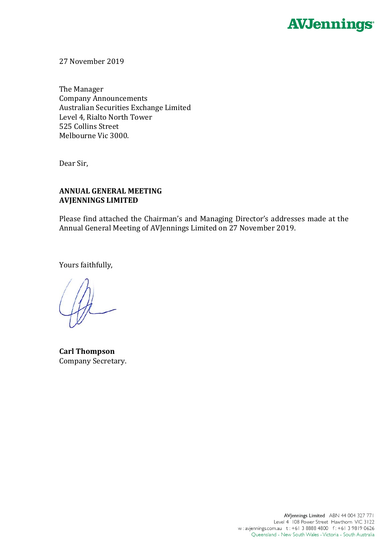

27 November 2019

The Manager Company Announcements Australian Securities Exchange Limited Level 4, Rialto North Tower 525 Collins Street Melbourne Vic 3000.

Dear Sir,

## **ANNUAL GENERAL MEETING AVJENNINGS LIMITED**

Please find attached the Chairman's and Managing Director's addresses made at the Annual General Meeting of AVJennings Limited on 27 November 2019.

Yours faithfully,

**Carl Thompson** Company Secretary.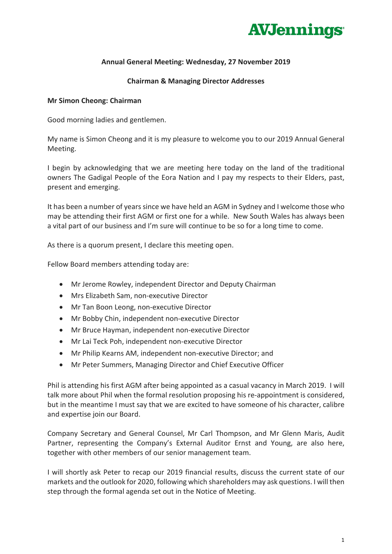

## **Annual General Meeting: Wednesday, 27 November 2019**

### **Chairman & Managing Director Addresses**

### **Mr Simon Cheong: Chairman**

Good morning ladies and gentlemen.

My name is Simon Cheong and it is my pleasure to welcome you to our 2019 Annual General Meeting.

I begin by acknowledging that we are meeting here today on the land of the traditional owners The Gadigal People of the Eora Nation and I pay my respects to their Elders, past, present and emerging.

It has been a number of years since we have held an AGM in Sydney and I welcome those who may be attending their first AGM or first one for a while. New South Wales has always been a vital part of our business and I'm sure will continue to be so for a long time to come.

As there is a quorum present, I declare this meeting open.

Fellow Board members attending today are:

- Mr Jerome Rowley, independent Director and Deputy Chairman
- Mrs Elizabeth Sam, non-executive Director
- Mr Tan Boon Leong, non-executive Director
- Mr Bobby Chin, independent non-executive Director
- Mr Bruce Hayman, independent non-executive Director
- Mr Lai Teck Poh, independent non-executive Director
- Mr Philip Kearns AM, independent non-executive Director; and
- Mr Peter Summers, Managing Director and Chief Executive Officer

Phil is attending his first AGM after being appointed as a casual vacancy in March 2019. I will talk more about Phil when the formal resolution proposing his re-appointment is considered, but in the meantime I must say that we are excited to have someone of his character, calibre and expertise join our Board.

Company Secretary and General Counsel, Mr Carl Thompson, and Mr Glenn Maris, Audit Partner, representing the Company's External Auditor Ernst and Young, are also here, together with other members of our senior management team.

I will shortly ask Peter to recap our 2019 financial results, discuss the current state of our markets and the outlook for 2020, following which shareholders may ask questions. I will then step through the formal agenda set out in the Notice of Meeting.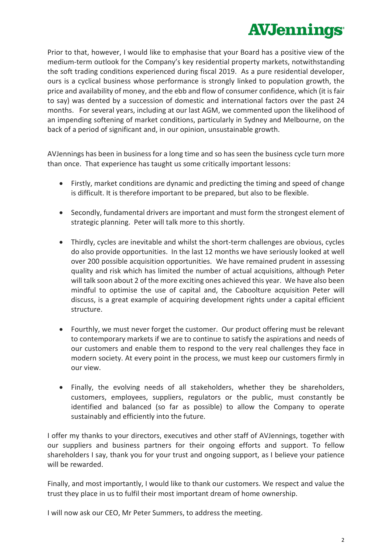# **AVJennings**

Prior to that, however, I would like to emphasise that your Board has a positive view of the medium-term outlook for the Company's key residential property markets, notwithstanding the soft trading conditions experienced during fiscal 2019. As a pure residential developer, ours is a cyclical business whose performance is strongly linked to population growth, the price and availability of money, and the ebb and flow of consumer confidence, which (it is fair to say) was dented by a succession of domestic and international factors over the past 24 months. For several years, including at our last AGM, we commented upon the likelihood of an impending softening of market conditions, particularly in Sydney and Melbourne, on the back of a period of significant and, in our opinion, unsustainable growth.

AVJennings has been in business for a long time and so has seen the business cycle turn more than once. That experience has taught us some critically important lessons:

- Firstly, market conditions are dynamic and predicting the timing and speed of change is difficult. It is therefore important to be prepared, but also to be flexible.
- Secondly, fundamental drivers are important and must form the strongest element of strategic planning. Peter will talk more to this shortly.
- Thirdly, cycles are inevitable and whilst the short-term challenges are obvious, cycles do also provide opportunities. In the last 12 months we have seriously looked at well over 200 possible acquisition opportunities. We have remained prudent in assessing quality and risk which has limited the number of actual acquisitions, although Peter will talk soon about 2 of the more exciting ones achieved this year. We have also been mindful to optimise the use of capital and, the Caboolture acquisition Peter will discuss, is a great example of acquiring development rights under a capital efficient structure.
- Fourthly, we must never forget the customer. Our product offering must be relevant to contemporary markets if we are to continue to satisfy the aspirations and needs of our customers and enable them to respond to the very real challenges they face in modern society. At every point in the process, we must keep our customers firmly in our view.
- Finally, the evolving needs of all stakeholders, whether they be shareholders, customers, employees, suppliers, regulators or the public, must constantly be identified and balanced (so far as possible) to allow the Company to operate sustainably and efficiently into the future.

I offer my thanks to your directors, executives and other staff of AVJennings, together with our suppliers and business partners for their ongoing efforts and support. To fellow shareholders I say, thank you for your trust and ongoing support, as I believe your patience will be rewarded.

Finally, and most importantly, I would like to thank our customers. We respect and value the trust they place in us to fulfil their most important dream of home ownership.

I will now ask our CEO, Mr Peter Summers, to address the meeting.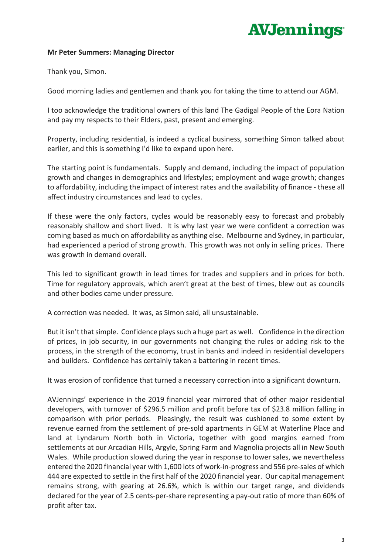# **AVJennings**

### **Mr Peter Summers: Managing Director**

Thank you, Simon.

Good morning ladies and gentlemen and thank you for taking the time to attend our AGM.

I too acknowledge the traditional owners of this land The Gadigal People of the Eora Nation and pay my respects to their Elders, past, present and emerging.

Property, including residential, is indeed a cyclical business, something Simon talked about earlier, and this is something I'd like to expand upon here.

The starting point is fundamentals. Supply and demand, including the impact of population growth and changes in demographics and lifestyles; employment and wage growth; changes to affordability, including the impact of interest rates and the availability of finance - these all affect industry circumstances and lead to cycles.

If these were the only factors, cycles would be reasonably easy to forecast and probably reasonably shallow and short lived. It is why last year we were confident a correction was coming based as much on affordability as anything else. Melbourne and Sydney, in particular, had experienced a period of strong growth. This growth was not only in selling prices. There was growth in demand overall.

This led to significant growth in lead times for trades and suppliers and in prices for both. Time for regulatory approvals, which aren't great at the best of times, blew out as councils and other bodies came under pressure.

A correction was needed. It was, as Simon said, all unsustainable.

But it isn't that simple. Confidence plays such a huge part as well. Confidence in the direction of prices, in job security, in our governments not changing the rules or adding risk to the process, in the strength of the economy, trust in banks and indeed in residential developers and builders. Confidence has certainly taken a battering in recent times.

It was erosion of confidence that turned a necessary correction into a significant downturn.

AVJennings' experience in the 2019 financial year mirrored that of other major residential developers, with turnover of \$296.5 million and profit before tax of \$23.8 million falling in comparison with prior periods. Pleasingly, the result was cushioned to some extent by revenue earned from the settlement of pre-sold apartments in GEM at Waterline Place and land at Lyndarum North both in Victoria, together with good margins earned from settlements at our Arcadian Hills, Argyle, Spring Farm and Magnolia projects all in New South Wales. While production slowed during the year in response to lower sales, we nevertheless entered the 2020 financial year with 1,600 lots of work-in-progress and 556 pre-sales of which 444 are expected to settle in the first half of the 2020 financial year. Our capital management remains strong, with gearing at 26.6%, which is within our target range, and dividends declared for the year of 2.5 cents-per-share representing a pay-out ratio of more than 60% of profit after tax.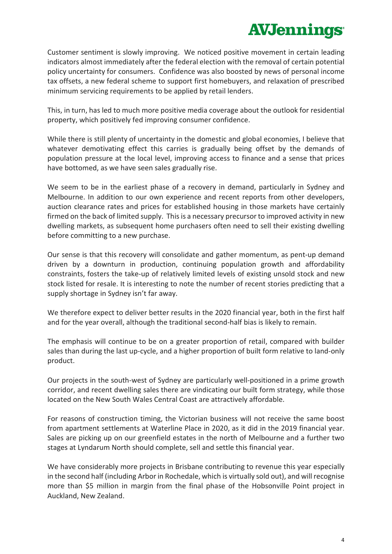# **AVJennings**

Customer sentiment is slowly improving. We noticed positive movement in certain leading indicators almost immediately after the federal election with the removal of certain potential policy uncertainty for consumers. Confidence was also boosted by news of personal income tax offsets, a new federal scheme to support first homebuyers, and relaxation of prescribed minimum servicing requirements to be applied by retail lenders.

This, in turn, has led to much more positive media coverage about the outlook for residential property, which positively fed improving consumer confidence.

While there is still plenty of uncertainty in the domestic and global economies, I believe that whatever demotivating effect this carries is gradually being offset by the demands of population pressure at the local level, improving access to finance and a sense that prices have bottomed, as we have seen sales gradually rise.

We seem to be in the earliest phase of a recovery in demand, particularly in Sydney and Melbourne. In addition to our own experience and recent reports from other developers, auction clearance rates and prices for established housing in those markets have certainly firmed on the back of limited supply. This is a necessary precursor to improved activity in new dwelling markets, as subsequent home purchasers often need to sell their existing dwelling before committing to a new purchase.

Our sense is that this recovery will consolidate and gather momentum, as pent-up demand driven by a downturn in production, continuing population growth and affordability constraints, fosters the take-up of relatively limited levels of existing unsold stock and new stock listed for resale. It is interesting to note the number of recent stories predicting that a supply shortage in Sydney isn't far away.

We therefore expect to deliver better results in the 2020 financial year, both in the first half and for the year overall, although the traditional second-half bias is likely to remain.

The emphasis will continue to be on a greater proportion of retail, compared with builder sales than during the last up-cycle, and a higher proportion of built form relative to land-only product.

Our projects in the south-west of Sydney are particularly well-positioned in a prime growth corridor, and recent dwelling sales there are vindicating our built form strategy, while those located on the New South Wales Central Coast are attractively affordable.

For reasons of construction timing, the Victorian business will not receive the same boost from apartment settlements at Waterline Place in 2020, as it did in the 2019 financial year. Sales are picking up on our greenfield estates in the north of Melbourne and a further two stages at Lyndarum North should complete, sell and settle this financial year.

We have considerably more projects in Brisbane contributing to revenue this year especially in the second half (including Arbor in Rochedale, which is virtually sold out), and will recognise more than \$5 million in margin from the final phase of the Hobsonville Point project in Auckland, New Zealand.